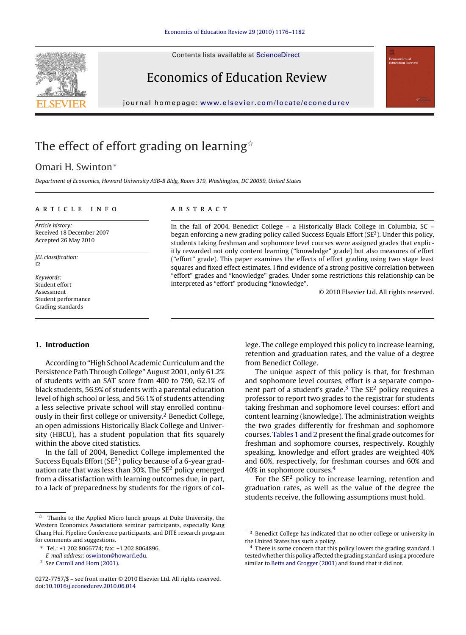Contents lists available at [ScienceDirect](http://www.sciencedirect.com/science/journal/02727757)



Economics of Education Review

journal homepage: [www.elsevier.com/locate/econedurev](http://www.elsevier.com/locate/econedurev)

# The effect of effort grading on learning $^{\scriptscriptstyle\mathrm{w}}$

# Omari H. Swinton<sup>∗</sup>

Department of Economics, Howard University ASB-B Bldg, Room 319, Washington, DC 20059, United States

### article info

Article history: Received 18 December 2007 Accepted 26 May 2010

JEL classification:  $12$ 

Keywords: Student effort Assessment Student performance Grading standards

#### abstract

In the fall of 2004, Benedict College – a Historically Black College in Columbia, SC – began enforcing a new grading policy called Success Equals Effort ( $SE<sup>2</sup>$ ). Under this policy, students taking freshman and sophomore level courses were assigned grades that explicitly rewarded not only content learning ("knowledge" grade) but also measures of effort ("effort" grade). This paper examines the effects of effort grading using two stage least squares and fixed effect estimates. I find evidence of a strong positive correlation between "effort" grades and "knowledge" grades. Under some restrictions this relationship can be interpreted as "effort" producing "knowledge".

© 2010 Elsevier Ltd. All rights reserved.

#### **1. Introduction**

According to "High School Academic Curriculum and the Persistence Path Through College" August 2001, only 61.2% of students with an SAT score from 400 to 790, 62.1% of black students, 56.9% of students with a parental education level of high school or less, and 56.1% of students attending a less selective private school will stay enrolled continuously in their first college or university.2 Benedict College, an open admissions Historically Black College and University (HBCU), has a student population that fits squarely within the above cited statistics.

In the fall of 2004, Benedict College implemented the Success Equals Effort ( $SE^2$ ) policy because of a 6-year graduation rate that was less than 30%. The SE<sup>2</sup> policy emerged from a dissatisfaction with learning outcomes due, in part, to a lack of preparedness by students for the rigors of college. The college employed this policy to increase learning, retention and graduation rates, and the value of a degree from Benedict College.

The unique aspect of this policy is that, for freshman and sophomore level courses, effort is a separate component part of a student's grade.<sup>3</sup> The  $SE<sup>2</sup>$  policy requires a professor to report two grades to the registrar for students taking freshman and sophomore level courses: effort and content learning (knowledge). The administration weights the two grades differently for freshman and sophomore courses. [Tables 1 and 2](#page-1-0) present the final grade outcomes for freshman and sophomore courses, respectively. Roughly speaking, knowledge and effort grades are weighted 40% and 60%, respectively, for freshman courses and 60% and 40% in sophomore courses. $4$ 

For the  $SE<sup>2</sup>$  policy to increase learning, retention and graduation rates, as well as the value of the degree the students receive, the following assumptions must hold.

 $\overrightarrow{x}$  Thanks to the Applied Micro lunch groups at Duke University, the Western Economics Associations seminar participants, especially Kang Chang Hui, Pipeline Conference participants, and DITE research program for comments and suggestions.

<sup>∗</sup> Tel.: +1 202 8066774; fax: +1 202 8064896.

E-mail address: [oswinton@howard.edu.](mailto:oswinton@howard.edu)

<sup>2</sup> See [Carroll and Horn \(2001\).](#page-6-0)

<sup>0272-7757/\$ –</sup> see front matter © 2010 Elsevier Ltd. All rights reserved. doi[:10.1016/j.econedurev.2010.06.014](dx.doi.org/10.1016/j.econedurev.2010.06.014)

<sup>&</sup>lt;sup>3</sup> Benedict College has indicated that no other college or university in the United States has such a policy.

<sup>&</sup>lt;sup>4</sup> There is some concern that this policy lowers the grading standard. I tested whether this policy affected the grading standard using a procedure similar to [Betts and Grogger \(2003\)](#page-6-0) and found that it did not.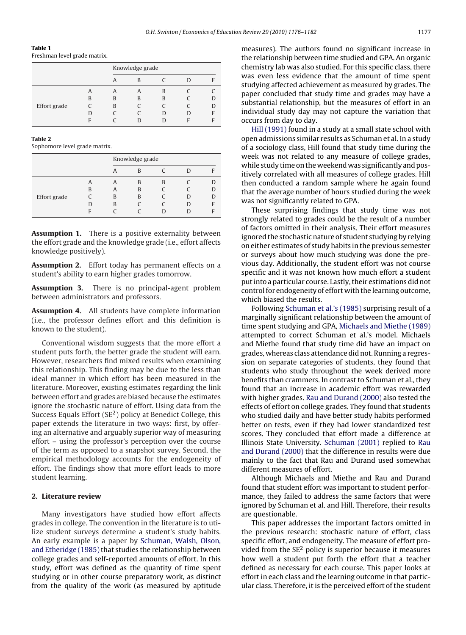<span id="page-1-0"></span>

| Table 1 |                              |  |
|---------|------------------------------|--|
|         | Freshman level grade matrix. |  |

| Freshman level grade matrix. |  |
|------------------------------|--|
|------------------------------|--|

|              |   |   | Knowledge grade |   |   |   |
|--------------|---|---|-----------------|---|---|---|
|              |   |   | B               |   |   | г |
|              | A |   |                 |   |   |   |
|              | B | B | R               | R |   |   |
| Effort grade |   | B |                 |   |   |   |
|              |   |   |                 |   |   | F |
|              | г |   |                 |   | Е | E |

#### **Table 2**

Sophomore level grade matrix.

|              |   |   | Knowledge grade |   |   |   |
|--------------|---|---|-----------------|---|---|---|
|              |   | А | $\mathbf{R}$    |   |   | F |
|              | A |   | <sub>R</sub>    | R |   |   |
|              | B | A | R               |   |   |   |
| Effort grade |   | B | R               |   | D |   |
|              |   | B |                 |   | D | F |
|              | F |   |                 |   |   | F |

**Assumption 1.** There is a positive externality between the effort grade and the knowledge grade (i.e., effort affects knowledge positively).

**Assumption 2.** Effort today has permanent effects on a student's ability to earn higher grades tomorrow.

**Assumption 3.** There is no principal-agent problem between administrators and professors.

**Assumption 4.** All students have complete information (i.e., the professor defines effort and this definition is known to the student).

Conventional wisdom suggests that the more effort a student puts forth, the better grade the student will earn. However, researchers find mixed results when examining this relationship. This finding may be due to the less than ideal manner in which effort has been measured in the literature. Moreover, existing estimates regarding the link between effort and grades are biased because the estimates ignore the stochastic nature of effort. Using data from the Success Equals Effort (SE2) policy at Benedict College, this paper extends the literature in two ways: first, by offering an alternative and arguably superior way of measuring effort – using the professor's perception over the course of the term as opposed to a snapshot survey. Second, the empirical methodology accounts for the endogeneity of effort. The findings show that more effort leads to more student learning.

## **2. Literature review**

Many investigators have studied how effort affects grades in college. The convention in the literature is to utilize student surveys determine a student's study habits. An early example is a paper by [Schuman, Walsh, Olson,](#page-6-0) and Etheridge (1985) that studies the relationship between college grades and self-reported amounts of effort. In this study, effort was defined as the quantity of time spent studying or in other course preparatory work, as distinct from the quality of the work (as measured by aptitude measures). The authors found no significant increase in the relationship between time studied and GPA. An organic chemistry lab was also studied. For this specific class, there was even less evidence that the amount of time spent studying affected achievement as measured by grades. The paper concluded that study time and grades may have a substantial relationship, but the measures of effort in an individual study day may not capture the variation that occurs from day to day.

[Hill \(1991\)](#page-6-0) found in a study at a small state school with open admissions similar results as Schuman et al. In a study of a sociology class, Hill found that study time during the week was not related to any measure of college grades, while study time on the weekend was significantly and positively correlated with all measures of college grades. Hill then conducted a random sample where he again found that the average number of hours studied during the week was not significantly related to GPA.

These surprising findings that study time was not strongly related to grades could be the result of a number of factors omitted in their analysis. Their effort measures ignored the stochastic nature of student studying by relying on either estimates of study habits in the previous semester or surveys about how much studying was done the previous day. Additionally, the student effort was not course specific and it was not known how much effort a student put into a particular course. Lastly, their estimations did not control for endogeneity of effort with the learning outcome, which biased the results.

Following [Schuman et al.'s \(1985\)](#page-6-0) surprising result of a marginally significant relationship between the amount of time spent studying and GPA, [Michaels and Miethe \(1989\)](#page-6-0) attempted to correct Schuman et al.'s model. Michaels and Miethe found that study time did have an impact on grades, whereas class attendance did not. Running a regression on separate categories of students, they found that students who study throughout the week derived more benefits than crammers. In contrast to Schuman et al., they found that an increase in academic effort was rewarded with higher grades. [Rau and Durand \(2000\)](#page-6-0) also tested the effects of effort on college grades. They found that students who studied daily and have better study habits performed better on tests, even if they had lower standardized test scores. They concluded that effort made a difference at Illinois State University. [Schuman \(2001\)](#page-6-0) replied to [Rau](#page-6-0) [and Durand \(2000\)](#page-6-0) that the difference in results were due mainly to the fact that Rau and Durand used somewhat different measures of effort.

Although Michaels and Miethe and Rau and Durand found that student effort was important to student performance, they failed to address the same factors that were ignored by Schuman et al. and Hill. Therefore, their results are questionable.

This paper addresses the important factors omitted in the previous research: stochastic nature of effort, class specific effort, and endogeneity. The measure of effort provided from the  $SE<sup>2</sup>$  policy is superior because it measures how well a student put forth the effort that a teacher defined as necessary for each course. This paper looks at effort in each class and the learning outcome in that particular class. Therefore, it is the perceived effort of the student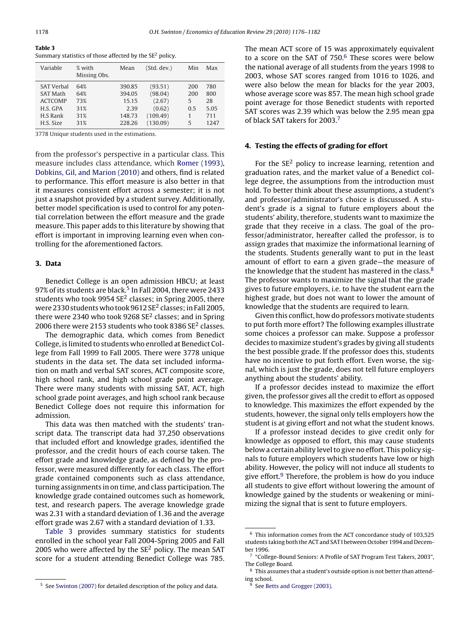| Table 3                                                             |  |  |
|---------------------------------------------------------------------|--|--|
| Summary statistics of those affected by the SE <sup>2</sup> policy. |  |  |

| Variable          | % with<br>Missing Obs. | Mean   | (Std. dev.) | Min | Max  |
|-------------------|------------------------|--------|-------------|-----|------|
| <b>SAT Verbal</b> | 64%                    | 390.85 | (93.51)     | 200 | 780  |
| <b>SAT Math</b>   | 64%                    | 394.05 | (98.04)     | 200 | 800  |
| <b>ACTCOMP</b>    | 73%                    | 15.15  | (2.67)      | 5   | 28   |
| H.S. GPA          | 31%                    | 2.39   | (0.62)      | 0.5 | 5.05 |
| H.S Rank          | 31%                    | 148.73 | (109.49)    |     | 711  |
| H.S. Size         | 31%                    | 228.26 | (130.09)    | 5   | 1247 |

3778 Unique students used in the estimations.

from the professor's perspective in a particular class. This measure includes class attendance, which [Romer \(1993\),](#page-6-0) [Dobkins, Gil, and Marion \(2010\)](#page-6-0) and others, find is related to performance. This effort measure is also better in that it measures consistent effort across a semester; it is not just a snapshot provided by a student survey. Additionally, better model specification is used to control for any potential correlation between the effort measure and the grade measure. This paper adds to this literature by showing that effort is important in improving learning even when controlling for the aforementioned factors.

## **3. Data**

Benedict College is an open admission HBCU; at least 97% of its students are black.<sup>5</sup> In Fall 2004, there were 2433 students who took 9954  $SE<sup>2</sup>$  classes; in Spring 2005, there were 2330 students who took 9612 SE<sup>2</sup> classes; in Fall 2005, there were 2340 who took 9268  $SE<sup>2</sup>$  classes; and in Spring 2006 there were 2153 students who took 8386  $SE<sup>2</sup>$  classes.

The demographic data, which comes from Benedict College, is limited to students who enrolled at Benedict College from Fall 1999 to Fall 2005. There were 3778 unique students in the data set. The data set included information on math and verbal SAT scores, ACT composite score, high school rank, and high school grade point average. There were many students with missing SAT, ACT, high school grade point averages, and high school rank because Benedict College does not require this information for admission.

This data was then matched with the students' transcript data. The transcript data had 37,250 observations that included effort and knowledge grades, identified the professor, and the credit hours of each course taken. The effort grade and knowledge grade, as defined by the professor, were measured differently for each class. The effort grade contained components such as class attendance, turning assignments in on time, and class participation. The knowledge grade contained outcomes such as homework, test, and research papers. The average knowledge grade was 2.31 with a standard deviation of 1.36 and the average effort grade was 2.67 with a standard deviation of 1.33.

Table 3 provides summary statistics for students enrolled in the school year Fall 2004-Spring 2005 and Fall 2005 who were affected by the  $SE<sup>2</sup>$  policy. The mean SAT score for a student attending Benedict College was 785.

The mean ACT score of 15 was approximately equivalent to a score on the SAT of  $750<sup>6</sup>$  These scores were below the national average of all students from the years 1998 to 2003, whose SAT scores ranged from 1016 to 1026, and were also below the mean for blacks for the year 2003, whose average score was 857. The mean high school grade point average for those Benedict students with reported SAT scores was 2.39 which was below the 2.95 mean gpa of black SAT takers for 2003.7

## **4. Testing the effects of grading for effort**

For the SE<sup>2</sup> policy to increase learning, retention and graduation rates, and the market value of a Benedict college degree, the assumptions from the introduction must hold. To better think about these assumptions, a student's and professor/administrator's choice is discussed. A student's grade is a signal to future employers about the students' ability, therefore, students want to maximize the grade that they receive in a class. The goal of the professor/administrator, hereafter called the professor, is to assign grades that maximize the informational learning of the students. Students generally want to put in the least amount of effort to earn a given grade—the measure of the knowledge that the student has mastered in the class.<sup>8</sup> The professor wants to maximize the signal that the grade gives to future employers, i.e. to have the student earn the highest grade, but does not want to lower the amount of knowledge that the students are required to learn.

Given this conflict, how do professors motivate students to put forth more effort? The following examples illustrate some choices a professor can make. Suppose a professor decides to maximize student's grades by giving all students the best possible grade. If the professor does this, students have no incentive to put forth effort. Even worse, the signal, which is just the grade, does not tell future employers anything about the students' ability.

If a professor decides instead to maximize the effort given, the professor gives all the credit to effort as opposed to knowledge. This maximizes the effort expended by the students, however, the signal only tells employers how the student is at giving effort and not what the student knows.

If a professor instead decides to give credit only for knowledge as opposed to effort, this may cause students below a certain ability level to give no effort. This policy signals to future employers which students have low or high ability. However, the policy will not induce all students to give effort. $9$  Therefore, the problem is how do you induce all students to give effort without lowering the amount of knowledge gained by the students or weakening or minimizing the signal that is sent to future employers.

| Table 3                                                            |  |
|--------------------------------------------------------------------|--|
| Summary statistics of those affected by the SF <sup>2</sup> policy |  |

 $^6\,$  This information comes from the ACT concordance study of 103,525 students taking both the ACT and SAT I between October 1994 and December 1996.

<sup>7</sup> "College-Bound Seniors: A Profile of SAT Program Test Takers, 2003", The College Board.

This assumes that a student's outside option is not better than attending school.

See [Betts and Grogger \(2003\).](#page-6-0)

<sup>5</sup> See [Swinton \(2007\)](#page-6-0) for detailed description of the policy and data.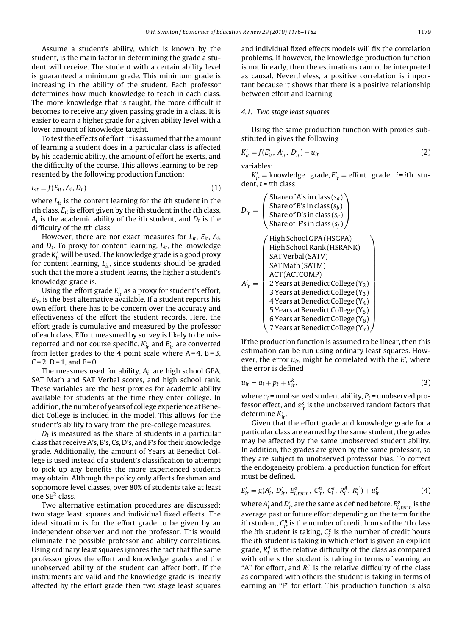Assume a student's ability, which is known by the student, is the main factor in determining the grade a student will receive. The student with a certain ability level is guaranteed a minimum grade. This minimum grade is increasing in the ability of the student. Each professor determines how much knowledge to teach in each class. The more knowledge that is taught, the more difficult it becomes to receive any given passing grade in a class. It is easier to earn a higher grade for a given ability level with a lower amount of knowledge taught.

To test the effects of effort, it is assumed that the amount of learning a student does in a particular class is affected by his academic ability, the amount of effort he exerts, and the difficulty of the course. This allows learning to be represented by the following production function:

$$
L_{it} = f(E_{it}, A_i, D_t) \tag{1}
$$

where  $L_{it}$  is the content learning for the *i*th student in the tth class,  $E_{it}$  is effort given by the *i*th student in the *t*th class,  $A_i$  is the academic ability of the *i*th student, and  $D_t$  is the difficulty of the tth class.

However, there are not exact measures for  $L_{it}$ ,  $E_{it}$ ,  $A_i$ , and  $D_t$ . To proxy for content learning,  $L_{it}$ , the knowledge grade K'<sub>it</sub> will be used. The knowledge grade is a good proxy<br>for content learning. L<sub>ite</sub> since students should be graded for content learning,  $L_{it}$ , since students should be graded such that the more a student learns, the higher a student's knowledge grade is.

Using the effort grade  $E'_{it}$  as a proxy for student's effort,<br>is the best alternative available. If a student reports his  $E_{it}$ , is the best alternative available. If a student reports his own effort, there has to be concern over the accuracy and effectiveness of the effort the student records. Here, the effort grade is cumulative and measured by the professor of each class. Effort measured by survey is likely to be misreported and not course specific.  $K'_{it}$  and  $E'_{it}$  are converted<br>from letter grades to the 4 point scale where A = 4 B = 3 from letter grades to the 4 point scale where  $A = 4$ ,  $B = 3$ ,  $C = 2$ ,  $D = 1$ , and  $F = 0$ .

The measures used for ability,  $A_i$ , are high school GPA, SAT Math and SAT Verbal scores, and high school rank. These variables are the best proxies for academic ability available for students at the time they enter college. In addition, the number of years of college experience at Benedict College is included in the model. This allows for the student's ability to vary from the pre-college measures.

 $D_t$  is measured as the share of students in a particular class that receive A's, B's, Cs, D's, and F's for their knowledge grade. Additionally, the amount of Years at Benedict College is used instead of a student's classification to attempt to pick up any benefits the more experienced students may obtain. Although the policy only affects freshman and sophomore level classes, over 80% of students take at least one SE2 class.

Two alternative estimation procedures are discussed: two stage least squares and individual fixed effects. The ideal situation is for the effort grade to be given by an independent observer and not the professor. This would eliminate the possible professor and ability correlations. Using ordinary least squares ignores the fact that the same professor gives the effort and knowledge grades and the unobserved ability of the student can affect both. If the instruments are valid and the knowledge grade is linearly affected by the effort grade then two stage least squares and individual fixed effects models will fix the correlation problems. If however, the knowledge production function is not linearly, then the estimations cannot be interpreted as causal. Nevertheless, a positive correlation is important because it shows that there is a positive relationship between effort and learning.

#### 4.1. Two stage least squares

Using the same production function with proxies substituted in gives the following

$$
K'_{it} = f(E'_{it}, A'_{it}, D'_{it}) + u_{it}
$$
 (2)

variables:

 $K'_{it}$  = knowledge grade, $E'_{it}$  = effort grade, *i*=*i*th stu-<br>it *t* = tth class dent,  $t = t$ th class

$$
D'_{it} = \left(\begin{array}{c}\text{Share of A's in class } (s_a) \\ \text{Share of B's in class } (s_b) \\ \text{Share of D's in class } (s_c) \\ \text{Share of F's in class } (s_c) \end{array}\right)
$$
\n
$$
A'_{it} = \left(\begin{array}{c}\text{High School GPA (HSGPA)} \\ \text{High School SAN (HSRANK)} \\ \text{SAT Verbal (SATV)} \\ \text{SAT Math (SATM)} \\ \text{ACT (ACTCOMP)} \\ \text{2 Years at Benedict College (Y2)} \\ \text{3 Years at Benedict College (Y3)} \\ \text{4 Years at Benedict College (Y4)} \\ \text{5 Years at Benedict College (Y5)} \\ \text{6 Years at Benedict College (Y6)} \\ \text{7 Years at Benedict College (Y7)}\end{array}\right)
$$

If the production function is assumed to be linear, then this estimation can be run using ordinary least squares. However, the error  $u_{it}$ , might be correlated with the E', where the error is defined

$$
u_{it} = a_i + p_t + \varepsilon_{it}^k,
$$
\n(3)

where  $a_i$  = unobserved student ability,  $P_t$  = unobserved professor effect, and  $\varepsilon_{it}^{\kappa}$  is the unobserved random factors that<br>determine K' determine  $K'_{it}$ .<br>Given that

Given that the effort grade and knowledge grade for a particular class are earned by the same student, the grades may be affected by the same unobserved student ability. In addition, the grades are given by the same professor, so they are subject to unobserved professor bias. To correct the endogeneity problem, a production function for effort must be defined.

$$
E'_{it} = g(A'_i, D'_{it}, E^0_{i, \text{term}}, C^n_{it}, C^e_i, R^A_i, R^F_i) + u^e_{it}
$$
(4)

where  $A'_i$  and  $D'_i$  are the same as defined before.  $E^o_{i, term}$  is the vertex on the same of the vertex of the vertex of the vertex of the vertex of the vertex of the vertex of the vertex of the vertex of the vertex of t average past or future effort depending on the term for the *i*th student,  $C_{it}^{n}$  is the number of credit hours of the *t*th class<br>the *i*th student is taking  $C^e$  is the number of credit hours the *i*th student is taking,  $C_i^e$  is the number of credit hours<br>the *i*th student is taking in which effort is given an explicit the ith student is taking in which effort is given an explicit grade,  $R_i^A$  is the relative difficulty of the class as compared<br>with others the student is taking in terms of earning an with others the student is taking in terms of earning an "A" for effort, and  $R_i^t$  is the relative difficulty of the class<br>as compared with others the student is taking in terms of as compared with others the student is taking in terms of earning an "F" for effort. This production function is also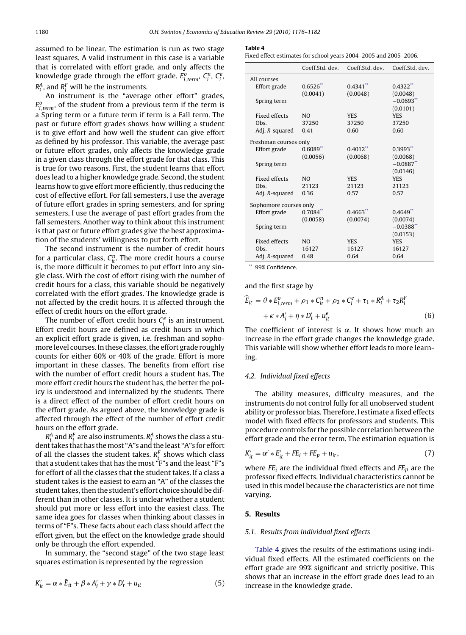<span id="page-4-0"></span>assumed to be linear. The estimation is run as two stage least squares. A valid instrument in this case is a variable that is correlated with effort grade, and only affects the knowledge grade through the effort grade.  $E_{i,term}^o$ ,  $C_i^n$ ,  $C_i^e$ ,  $P_A^A$ , and  $P_i^e$  , will be the instruments  $R_i^A$ , and  $R_i^F$ <br>An ins and  $R_i^t$  will be the instruments.<br>An instrument is the "average other effort" grades,

 $E_{i,term}^o$ , of the student from a previous term if the term is<br>2. Spring term or 2 future term if term is 2 Fall term. The a Spring term or a future term if term is a Fall term. The past or future effort grades shows how willing a student is to give effort and how well the student can give effort as defined by his professor. This variable, the average past or future effort grades, only affects the knowledge grade in a given class through the effort grade for that class. This is true for two reasons. First, the student learns that effort does lead to a higher knowledge grade. Second, the student learns how to give effort more efficiently, thus reducing the cost of effective effort. For fall semesters, I use the average of future effort grades in spring semesters, and for spring semesters, I use the average of past effort grades from the fall semesters. Another way to think about this instrument is that past or future effort grades give the best approximation of the students' willingness to put forth effort.

The second instrument is the number of credit hours for a particular class,  $C_{it}^n$ . The more credit hours a course<br>is the more difficult it becomes to put effort into any sinis, the more difficult it becomes to put effort into any single class. With the cost of effort rising with the number of credit hours for a class, this variable should be negatively correlated with the effort grades. The knowledge grade is not affected by the credit hours. It is affected through the effect of credit hours on the effort grade.

The number of effort credit hours  $C_i^e$  is an instrument.<br>
Int credit hours are defined as credit hours in which Effort credit hours are defined as credit hours in which an explicit effort grade is given, i.e. freshman and sophomore level courses. In these classes, the effort grade roughly counts for either 60% or 40% of the grade. Effort is more important in these classes. The benefits from effort rise with the number of effort credit hours a student has. The more effort credit hours the student has, the better the policy is understood and internalized by the students. There is a direct effect of the number of effort credit hours on the effort grade. As argued above, the knowledge grade is affected through the effect of the number of effort credit hours on the effort grade.

 $R_i^A$  and  $R_i^F$  are also instruments.  $R_i^A$  shows the class a student takes that has the most "A"s and the least "A"s for effort of all the classes the student takes.  $R_i^F$  shows which class of all the classes the student takes.  $R_i^t$  shows which class<br>that a student takes that has the most "F"s and the least "F"s for effort of all the classes that the student takes. If a class a student takes is the easiest to earn an "A" of the classes the student takes, then the student's effort choice should be different than in other classes. It is unclear whether a student should put more or less effort into the easiest class. The same idea goes for classes when thinking about classes in terms of "F"s. These facts about each class should affect the effort given, but the effect on the knowledge grade should only be through the effort expended.

In summary, the "second stage" of the two stage least squares estimation is represented by the regression

$$
K'_{it} = \alpha * \hat{E}_{it} + \beta * A'_i + \gamma * D'_t + u_{it}
$$
\n<sup>(5)</sup>

#### **Table 4**

Fixed effect estimates for school years 2004–2005 and 2005–2006.

| All courses<br>$0.6526$ **<br>$0.4341$ <sup>**</sup><br>0.4322<br>Effort grade<br>(0.0041)<br>(0.0048)<br>(0.0048)<br>$-0.0693$ <sup>*</sup><br>Spring term<br>(0.0101)<br><b>Fixed effects</b><br><b>YES</b><br><b>YES</b><br>N <sub>O</sub><br>Obs.<br>37250<br>37250<br>37250<br>0.41<br>0.60<br>0.60<br>Adj. R-squared<br>Freshman courses only<br>$0.6089$ **<br>0.4012<br>$0.3993$ <sup>**</sup><br>Effort grade<br>(0.0068)<br>(0.0056)<br>(0.0068)<br>$-0.0887$ <sup>*</sup><br>Spring term |
|-----------------------------------------------------------------------------------------------------------------------------------------------------------------------------------------------------------------------------------------------------------------------------------------------------------------------------------------------------------------------------------------------------------------------------------------------------------------------------------------------------|
|                                                                                                                                                                                                                                                                                                                                                                                                                                                                                                     |
|                                                                                                                                                                                                                                                                                                                                                                                                                                                                                                     |
|                                                                                                                                                                                                                                                                                                                                                                                                                                                                                                     |
|                                                                                                                                                                                                                                                                                                                                                                                                                                                                                                     |
|                                                                                                                                                                                                                                                                                                                                                                                                                                                                                                     |
|                                                                                                                                                                                                                                                                                                                                                                                                                                                                                                     |
|                                                                                                                                                                                                                                                                                                                                                                                                                                                                                                     |
|                                                                                                                                                                                                                                                                                                                                                                                                                                                                                                     |
|                                                                                                                                                                                                                                                                                                                                                                                                                                                                                                     |
|                                                                                                                                                                                                                                                                                                                                                                                                                                                                                                     |
|                                                                                                                                                                                                                                                                                                                                                                                                                                                                                                     |
|                                                                                                                                                                                                                                                                                                                                                                                                                                                                                                     |
| (0.0146)                                                                                                                                                                                                                                                                                                                                                                                                                                                                                            |
| <b>YES</b><br><b>Fixed effects</b><br>N <sub>O</sub><br><b>YES</b>                                                                                                                                                                                                                                                                                                                                                                                                                                  |
| Obs.<br>21123<br>21123<br>21123                                                                                                                                                                                                                                                                                                                                                                                                                                                                     |
| 0.36<br>0.57<br>0.57<br>Adj. R-squared                                                                                                                                                                                                                                                                                                                                                                                                                                                              |
| Sophomore courses only                                                                                                                                                                                                                                                                                                                                                                                                                                                                              |
| $0.7084$ **<br>$0.4663$ **<br>$0.4649$ <sup>**</sup><br>Effort grade                                                                                                                                                                                                                                                                                                                                                                                                                                |
| (0.0074)<br>(0.0074)<br>(0.0058)                                                                                                                                                                                                                                                                                                                                                                                                                                                                    |
| $-0.0388$ <sup>*</sup><br>Spring term                                                                                                                                                                                                                                                                                                                                                                                                                                                               |
| (0.0153)                                                                                                                                                                                                                                                                                                                                                                                                                                                                                            |
| <b>Fixed effects</b><br>N <sub>O</sub><br><b>YES</b><br><b>YES</b>                                                                                                                                                                                                                                                                                                                                                                                                                                  |
| Obs.<br>16127<br>16127<br>16127                                                                                                                                                                                                                                                                                                                                                                                                                                                                     |
| Adj. R-squared<br>0.48<br>0.64<br>0.64                                                                                                                                                                                                                                                                                                                                                                                                                                                              |

\*\* 99% Confidence.

and the first stage by

$$
\hat{E}_{it} = \theta * E_{i,term}^0 + \rho_1 * C_{it}^n + \rho_2 * C_i^e + \tau_1 * R_i^A + \tau_2 R_i^F
$$
  
+  $\kappa * A_i' + \eta * D_t' + u_{it}^e$  (6)

The coefficient of interest is  $\alpha$ . It shows how much an increase in the effort grade changes the knowledge grade. This variable will show whether effort leads to more learning.

#### 4.2. Individual fixed effects

The ability measures, difficulty measures, and the instruments do not control fully for all unobserved student ability or professor bias. Therefore, I estimate a fixed effects model with fixed effects for professors and students. This procedure controls for the possible correlation between the effort grade and the error term. The estimation equation is

$$
K'_{it} = \alpha' * E'_{it} + FE_i + FE_p + u_{it},\tag{7}
$$

where  $FE_i$  are the individual fixed effects and  $FE_p$  are the professor fixed effects. Individual characteristics cannot be used in this model because the characteristics are not time varying.

#### **5. Results**

#### 5.1. Results from individual fixed effects

Table 4 gives the results of the estimations using individual fixed effects. All the estimated coefficients on the effort grade are 99% significant and strictly positive. This shows that an increase in the effort grade does lead to an increase in the knowledge grade.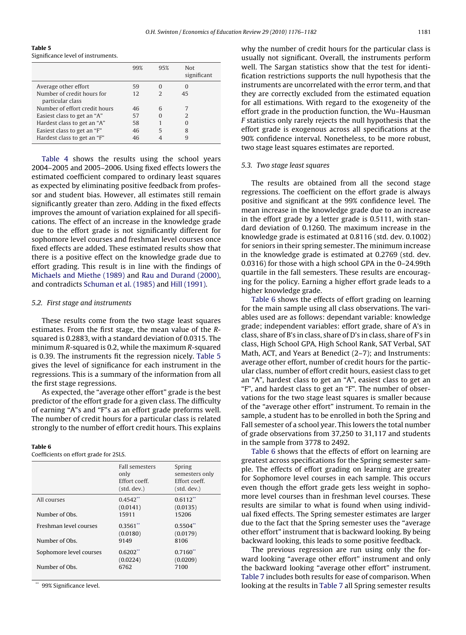**Table 5** Significance level of instruments.

|                                                | 99% | 95% | Not<br>significant |
|------------------------------------------------|-----|-----|--------------------|
| Average other effort                           | 59  |     |                    |
| Number of credit hours for<br>particular class | 12  | 2   | 45                 |
| Number of effort credit hours                  | 46  | 6   |                    |
| Easiest class to get an "A"                    | 57  |     | $\mathcal{D}$      |
| Hardest class to get an "A"                    | 58  |     |                    |
| Easiest class to get an "F"                    | 46  | 5   | 8                  |
| Hardest class to get an "F"                    | 46  |     | g                  |
|                                                |     |     |                    |

[Table 4](#page-4-0) shows the results using the school years 2004–2005 and 2005–2006. Using fixed effects lowers the estimated coefficient compared to ordinary least squares as expected by eliminating positive feedback from professor and student bias. However, all estimates still remain significantly greater than zero. Adding in the fixed effects improves the amount of variation explained for all specifications. The effect of an increase in the knowledge grade due to the effort grade is not significantly different for sophomore level courses and freshman level courses once fixed effects are added. These estimated results show that there is a positive effect on the knowledge grade due to effort grading. This result is in line with the findings of [Michaels and Miethe \(1989\)](#page-6-0) and [Rau and Durand \(2000\),](#page-6-0) and contradicts [Schuman et al. \(1985\)](#page-6-0) and [Hill \(1991\).](#page-6-0)

#### 5.2. First stage and instruments

These results come from the two stage least squares estimates. From the first stage, the mean value of the Rsquared is 0.2883, with a standard deviation of 0.0315. The minimum R-squared is 0.2, while the maximum R-squared is 0.39. The instruments fit the regression nicely. Table 5 gives the level of significance for each instrument in the regressions. This is a summary of the information from all the first stage regressions.

As expected, the "average other effort" grade is the best predictor of the effort grade for a given class. The difficulty of earning "A"s and "F"s as an effort grade preforms well. The number of credit hours for a particular class is related strongly to the number of effort credit hours. This explains

#### **Table 6**

Coefficients on effort grade for 2SLS.

|                         | <b>Fall semesters</b><br>only<br>Effort coeff<br>(stat, dev.) | Spring<br>semesters only<br>Effort coeff<br>(stat, dev.) |
|-------------------------|---------------------------------------------------------------|----------------------------------------------------------|
| All courses             | 0.4542                                                        | $0.6112$ **                                              |
|                         | (0.0141)                                                      | (0.0135)                                                 |
| Number of Obs.          | 15911                                                         | 15206                                                    |
| Freshman level courses  | $0.3561**$<br>(0.0180)                                        | $0.5504$ **<br>(0.0179)                                  |
| Number of Obs           | 9149                                                          | 8106                                                     |
| Sophomore level courses | 0.6202                                                        | $0.7160**$                                               |
| Number of Obs.          | (0.0224)<br>6762                                              | (0.0209)<br>7100                                         |
|                         |                                                               |                                                          |

99% Significance level.

why the number of credit hours for the particular class is usually not significant. Overall, the instruments perform well. The Sargan statistics show that the test for identification restrictions supports the null hypothesis that the instruments are uncorrelated with the error term, and that they are correctly excluded from the estimated equation for all estimations. With regard to the exogeneity of the effort grade in the production function, the Wu–Hausman F statistics only rarely rejects the null hypothesis that the effort grade is exogenous across all specifications at the 90% confidence interval. Nonetheless, to be more robust, two stage least squares estimates are reported.

#### 5.3. Two stage least squares

The results are obtained from all the second stage regressions. The coefficient on the effort grade is always positive and significant at the 99% confidence level. The mean increase in the knowledge grade due to an increase in the effort grade by a letter grade is 0.5111, with standard deviation of 0.1260. The maximum increase in the knowledge grade is estimated at 0.8116 (std. dev. 0.1002) for seniors in their spring semester. The minimum increase in the knowledge grade is estimated at 0.2769 (std. dev. 0.0316) for those with a high school GPA in the 0–24.99th quartile in the fall semesters. These results are encouraging for the policy. Earning a higher effort grade leads to a higher knowledge grade.

Table 6 shows the effects of effort grading on learning for the main sample using all class observations. The variables used are as follows: dependant variable: knowledge grade; independent variables: effort grade, share of A's in class, share of B's in class, share of D's in class, share of F's in class, High School GPA, High School Rank, SAT Verbal, SAT Math, ACT, and Years at Benedict (2–7); and Instruments: average other effort, number of credit hours for the particular class, number of effort credit hours, easiest class to get an "A", hardest class to get an "A", easiest class to get an "F", and hardest class to get an "F". The number of observations for the two stage least squares is smaller because of the "average other effort" instrument. To remain in the sample, a student has to be enrolled in both the Spring and Fall semester of a school year. This lowers the total number of grade observations from 37,250 to 31,117 and students in the sample from 3778 to 2492.

Table 6 shows that the effects of effort on learning are greatest across specifications for the Spring semester sample. The effects of effort grading on learning are greater for Sophomore level courses in each sample. This occurs even though the effort grade gets less weight in sophomore level courses than in freshman level courses. These results are similar to what is found when using individual fixed effects. The Spring semester estimates are larger due to the fact that the Spring semester uses the "average other effort" instrument that is backward looking. By being backward looking, this leads to some positive feedback.

The previous regression are run using only the forward looking "average other effort" instrument and only the backward looking "average other effort" instrument. [Table 7](#page-6-0) includes both results for ease of comparison. When looking at the results in [Table 7](#page-6-0) all Spring semester results